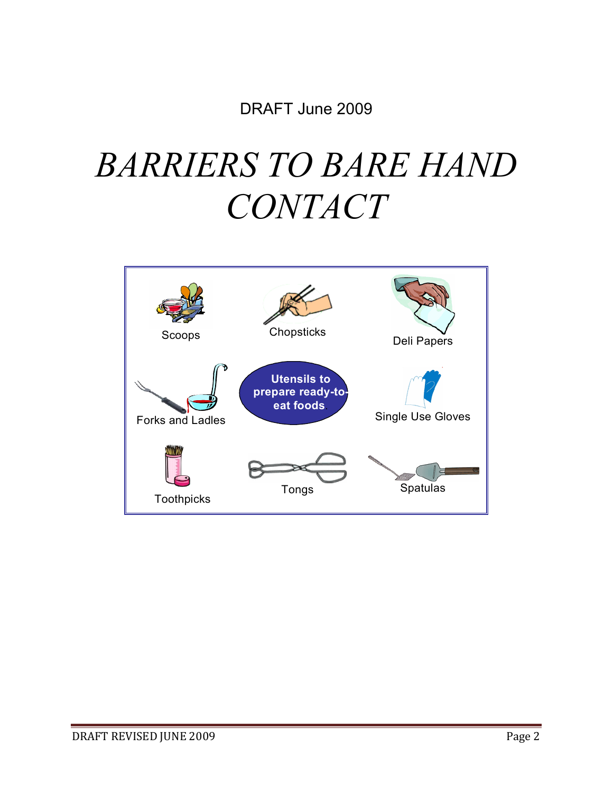DRAFT June 2009

# *BARRIERS TO BARE HAND CONTACT*

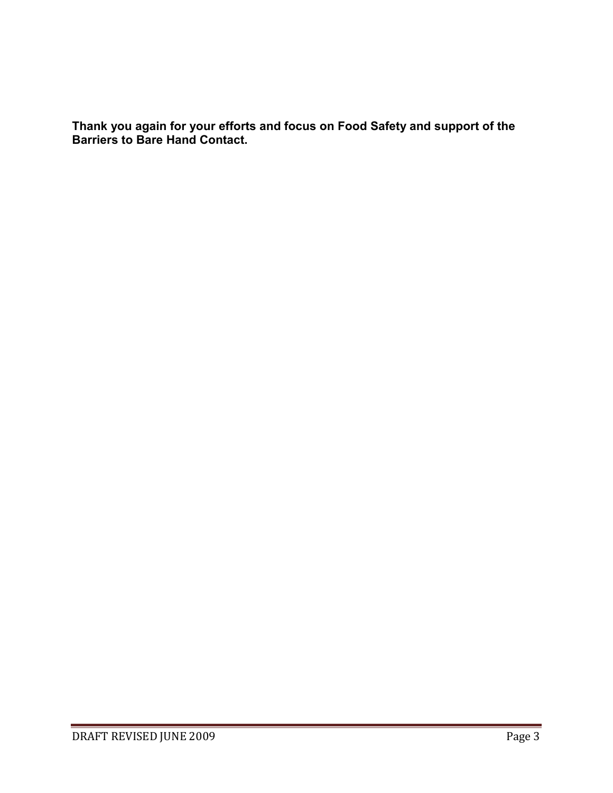**Thank you again for your efforts and focus on Food Safety and support of the Barriers to Bare Hand Contact.**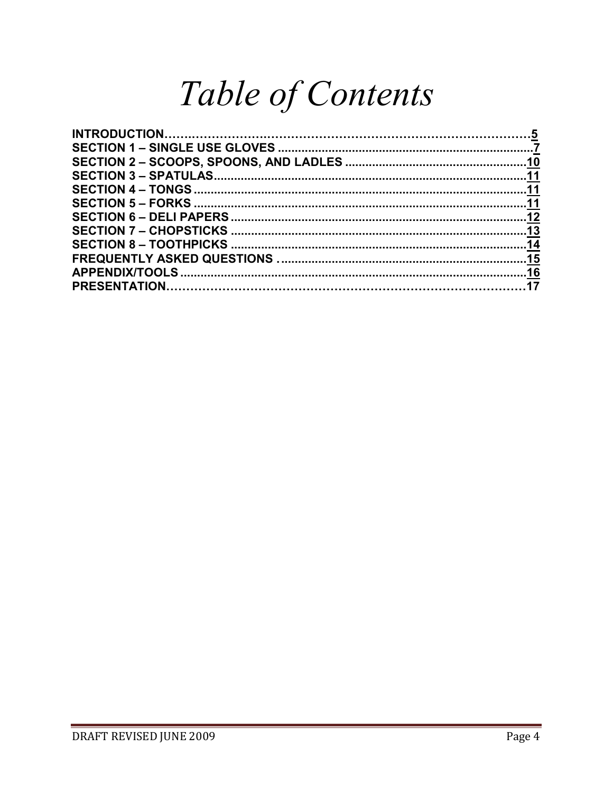# Table of Contents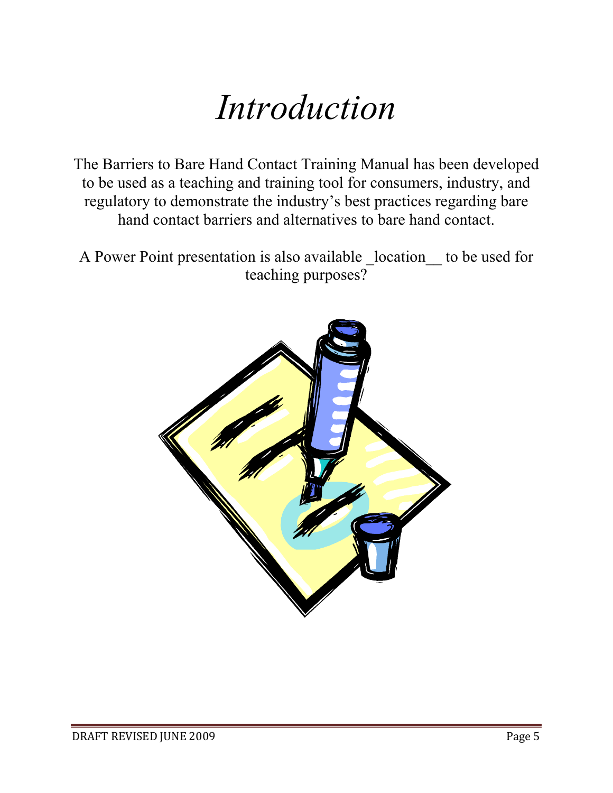# *Introduction*

The Barriers to Bare Hand Contact Training Manual has been developed to be used as a teaching and training tool for consumers, industry, and regulatory to demonstrate the industry's best practices regarding bare hand contact barriers and alternatives to bare hand contact.

A Power Point presentation is also available \_location\_\_ to be used for teaching purposes?

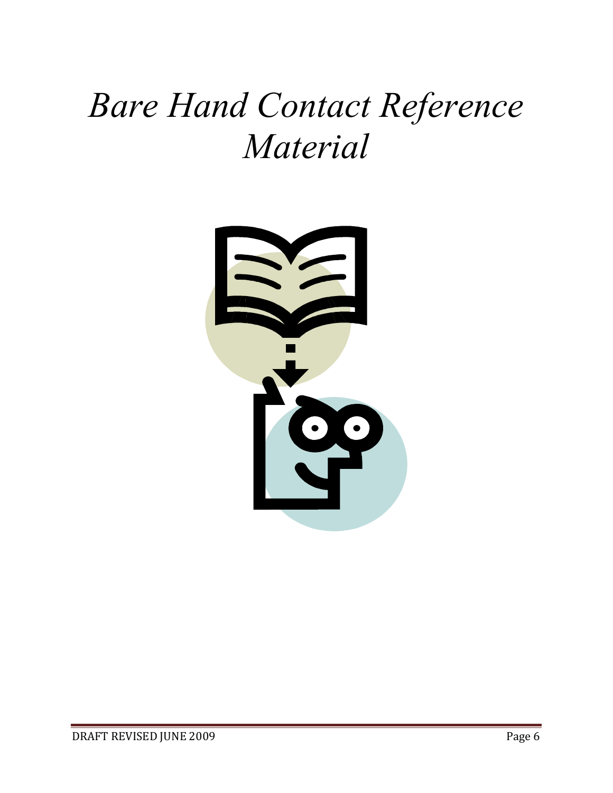# *Bare Hand Contact Reference Material*

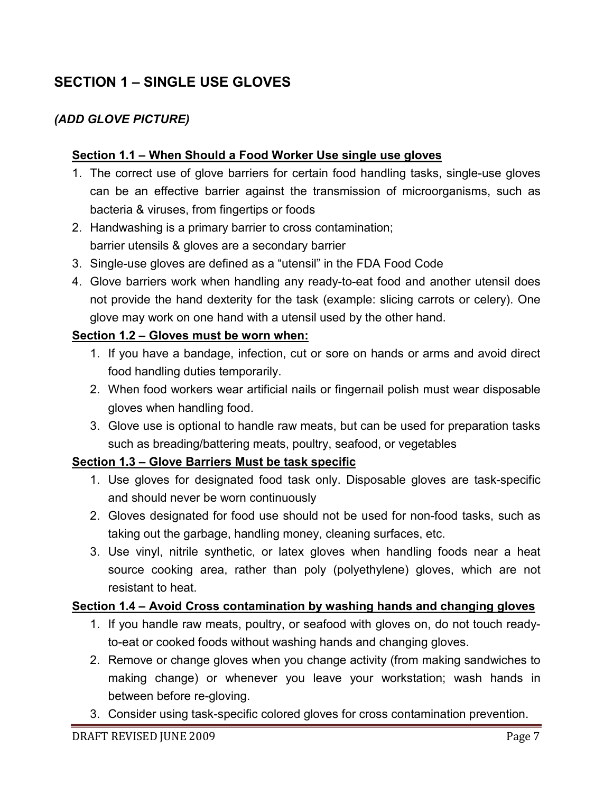## **SECTION 1 – SINGLE USE GLOVES**

#### *(ADD GLOVE PICTURE)*

#### **Section 1.1 – When Should a Food Worker Use single use gloves**

- 1. The correct use of glove barriers for certain food handling tasks, single-use gloves can be an effective barrier against the transmission of microorganisms, such as bacteria & viruses, from fingertips or foods
- 2. Handwashing is a primary barrier to cross contamination; barrier utensils & gloves are a secondary barrier
- 3. Single-use gloves are defined as a "utensil" in the FDA Food Code
- 4. Glove barriers work when handling any ready-to-eat food and another utensil does not provide the hand dexterity for the task (example: slicing carrots or celery). One glove may work on one hand with a utensil used by the other hand.

#### **Section 1.2 – Gloves must be worn when:**

- 1. If you have a bandage, infection, cut or sore on hands or arms and avoid direct food handling duties temporarily.
- 2. When food workers wear artificial nails or fingernail polish must wear disposable gloves when handling food.
- 3. Glove use is optional to handle raw meats, but can be used for preparation tasks such as breading/battering meats, poultry, seafood, or vegetables

#### **Section 1.3 – Glove Barriers Must be task specific**

- 1. Use gloves for designated food task only. Disposable gloves are task-specific and should never be worn continuously
- 2. Gloves designated for food use should not be used for non-food tasks, such as taking out the garbage, handling money, cleaning surfaces, etc.
- 3. Use vinyl, nitrile synthetic, or latex gloves when handling foods near a heat source cooking area, rather than poly (polyethylene) gloves, which are not resistant to heat.

#### **Section 1.4 – Avoid Cross contamination by washing hands and changing gloves**

- 1. If you handle raw meats, poultry, or seafood with gloves on, do not touch readyto-eat or cooked foods without washing hands and changing gloves.
- 2. Remove or change gloves when you change activity (from making sandwiches to making change) or whenever you leave your workstation; wash hands in between before re-gloving.
- 3. Consider using task-specific colored gloves for cross contamination prevention.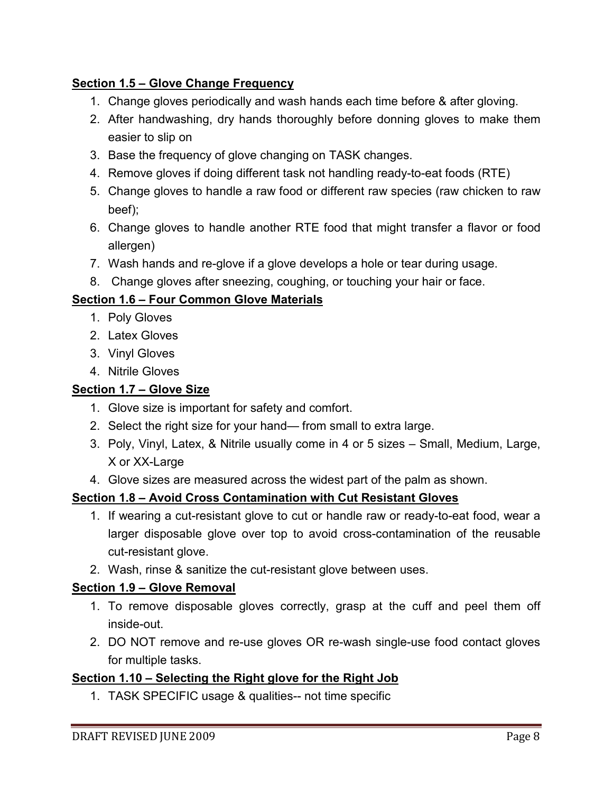#### **Section 1.5 – Glove Change Frequency**

- 1. Change gloves periodically and wash hands each time before & after gloving.
- 2. After handwashing, dry hands thoroughly before donning gloves to make them easier to slip on
- 3. Base the frequency of glove changing on TASK changes.
- 4. Remove gloves if doing different task not handling ready-to-eat foods (RTE)
- 5. Change gloves to handle a raw food or different raw species (raw chicken to raw beef);
- 6. Change gloves to handle another RTE food that might transfer a flavor or food allergen)
- 7. Wash hands and re-glove if a glove develops a hole or tear during usage.
- 8. Change gloves after sneezing, coughing, or touching your hair or face.

#### **Section 1.6 – Four Common Glove Materials**

- 1. Poly Gloves
- 2. Latex Gloves
- 3. Vinyl Gloves
- 4. Nitrile Gloves

#### **Section 1.7 – Glove Size**

- 1. Glove size is important for safety and comfort.
- 2. Select the right size for your hand— from small to extra large.
- 3. Poly, Vinyl, Latex, & Nitrile usually come in 4 or 5 sizes Small, Medium, Large, X or XX-Large
- 4. Glove sizes are measured across the widest part of the palm as shown.

#### **Section 1.8 – Avoid Cross Contamination with Cut Resistant Gloves**

- 1. If wearing a cut-resistant glove to cut or handle raw or ready-to-eat food, wear a larger disposable glove over top to avoid cross-contamination of the reusable cut-resistant glove.
- 2. Wash, rinse & sanitize the cut-resistant glove between uses.

#### **Section 1.9 – Glove Removal**

- 1. To remove disposable gloves correctly, grasp at the cuff and peel them off inside-out.
- 2. DO NOT remove and re-use gloves OR re-wash single-use food contact gloves for multiple tasks.

#### **Section 1.10 – Selecting the Right glove for the Right Job**

1. TASK SPECIFIC usage & qualities-- not time specific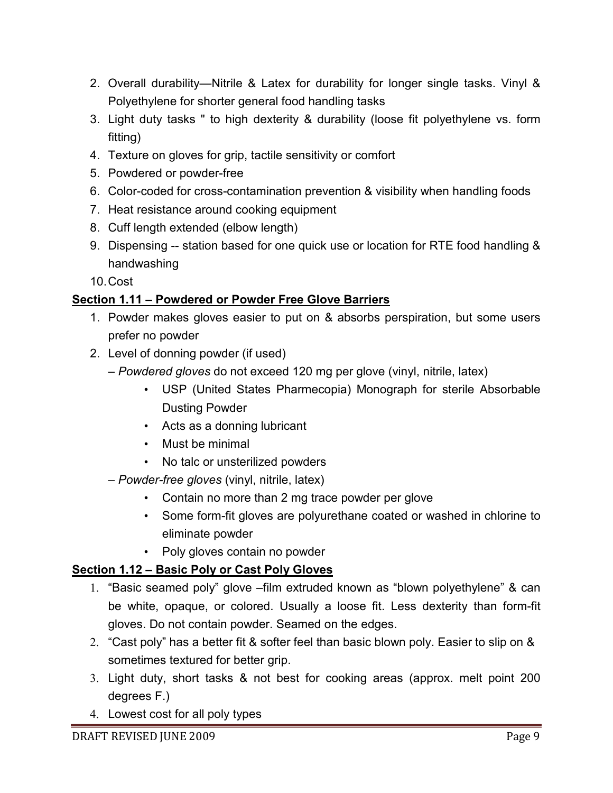- 2. Overall durability—Nitrile & Latex for durability for longer single tasks. Vinyl & Polyethylene for shorter general food handling tasks
- 3. Light duty tasks " to high dexterity & durability (loose fit polyethylene vs. form fitting)
- 4. Texture on gloves for grip, tactile sensitivity or comfort
- 5. Powdered or powder-free
- 6. Color-coded for cross-contamination prevention & visibility when handling foods
- 7. Heat resistance around cooking equipment
- 8. Cuff length extended (elbow length)
- 9. Dispensing -- station based for one quick use or location for RTE food handling & handwashing

10. Cost

#### **Section 1.11 – Powdered or Powder Free Glove Barriers**

- 1. Powder makes gloves easier to put on & absorbs perspiration, but some users prefer no powder
- 2. Level of donning powder (if used)
	- *Powdered gloves* do not exceed 120 mg per glove (vinyl, nitrile, latex)
		- USP (United States Pharmecopia) Monograph for sterile Absorbable Dusting Powder
		- Acts as a donning lubricant
		- Must be minimal
		- No talc or unsterilized powders
	- *Powder-free gloves* (vinyl, nitrile, latex)
		- Contain no more than 2 mg trace powder per glove
		- Some form-fit gloves are polyurethane coated or washed in chlorine to eliminate powder
		- Poly gloves contain no powder

### **Section 1.12 – Basic Poly or Cast Poly Gloves**

- 1. "Basic seamed poly" glove –film extruded known as "blown polyethylene" & can be white, opaque, or colored. Usually a loose fit. Less dexterity than form-fit gloves. Do not contain powder. Seamed on the edges.
- 2. "Cast poly" has a better fit & softer feel than basic blown poly. Easier to slip on & sometimes textured for better grip.
- 3. Light duty, short tasks & not best for cooking areas (approx. melt point 200 degrees F.)
- 4. Lowest cost for all poly types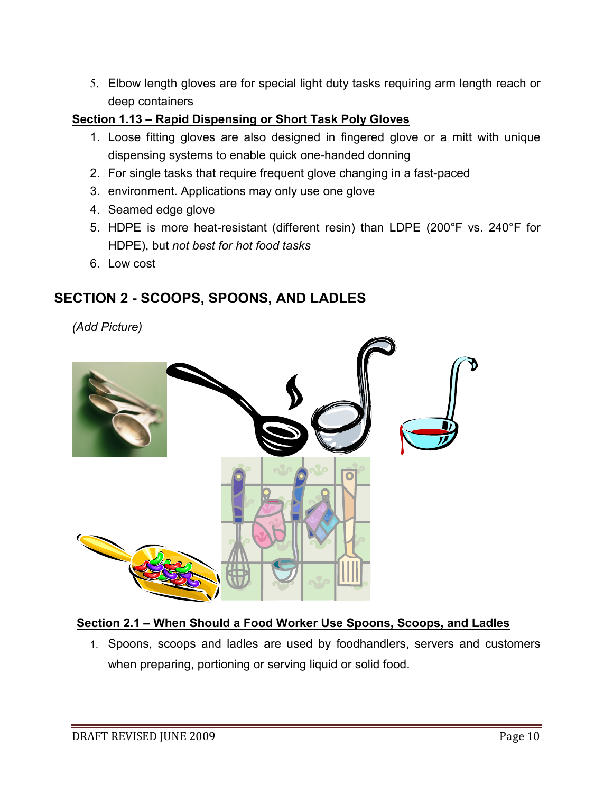5. Elbow length gloves are for special light duty tasks requiring arm length reach or deep containers

#### **Section 1.13 – Rapid Dispensing or Short Task Poly Gloves**

- 1. Loose fitting gloves are also designed in fingered glove or a mitt with unique dispensing systems to enable quick one-handed donning
- 2. For single tasks that require frequent glove changing in a fast-paced
- 3. environment. Applications may only use one glove
- 4. Seamed edge glove
- 5. HDPE is more heat-resistant (different resin) than LDPE (200°F vs. 240°F for HDPE), but *not best for hot food tasks*
- 6. Low cost

## **SECTION 2 - SCOOPS, SPOONS, AND LADLES**

*(Add Picture)* 



#### **Section 2.1 – When Should a Food Worker Use Spoons, Scoops, and Ladles**

1. Spoons, scoops and ladles are used by foodhandlers, servers and customers when preparing, portioning or serving liquid or solid food.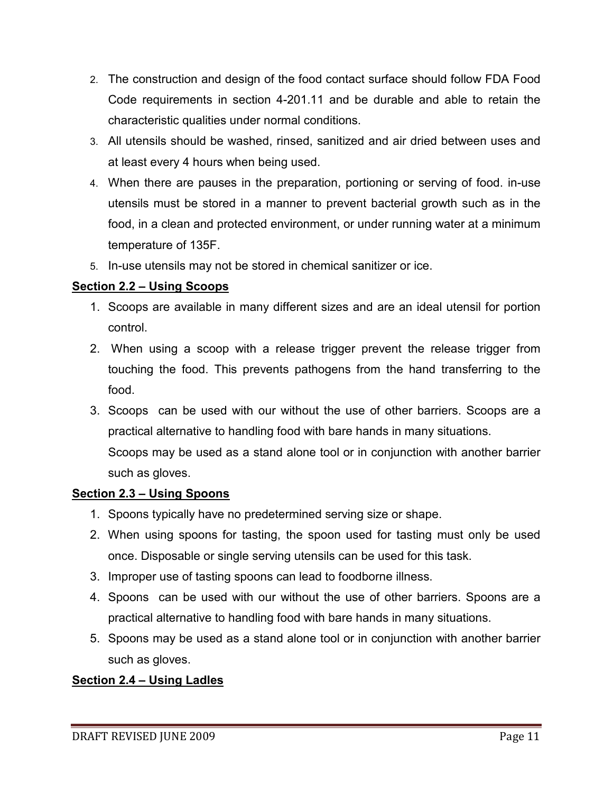- 2. The construction and design of the food contact surface should follow FDA Food Code requirements in section 4-201.11 and be durable and able to retain the characteristic qualities under normal conditions.
- 3. All utensils should be washed, rinsed, sanitized and air dried between uses and at least every 4 hours when being used.
- 4. When there are pauses in the preparation, portioning or serving of food. in-use utensils must be stored in a manner to prevent bacterial growth such as in the food, in a clean and protected environment, or under running water at a minimum temperature of 135F.
- 5. In-use utensils may not be stored in chemical sanitizer or ice.

#### **Section 2.2 – Using Scoops**

- 1. Scoops are available in many different sizes and are an ideal utensil for portion control.
- 2. When using a scoop with a release trigger prevent the release trigger from touching the food. This prevents pathogens from the hand transferring to the food.
- 3. Scoops can be used with our without the use of other barriers. Scoops are a practical alternative to handling food with bare hands in many situations. Scoops may be used as a stand alone tool or in conjunction with another barrier such as gloves.

#### **Section 2.3 – Using Spoons**

- 1. Spoons typically have no predetermined serving size or shape.
- 2. When using spoons for tasting, the spoon used for tasting must only be used once. Disposable or single serving utensils can be used for this task.
- 3. Improper use of tasting spoons can lead to foodborne illness.
- 4. Spoons can be used with our without the use of other barriers. Spoons are a practical alternative to handling food with bare hands in many situations.
- 5. Spoons may be used as a stand alone tool or in conjunction with another barrier such as gloves.

#### **Section 2.4 – Using Ladles**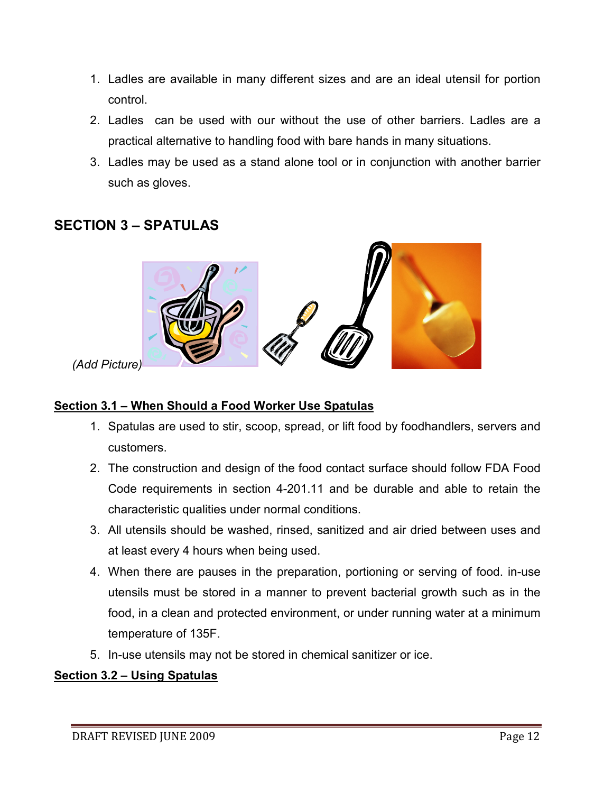- 1. Ladles are available in many different sizes and are an ideal utensil for portion control.
- 2. Ladles can be used with our without the use of other barriers. Ladles are a practical alternative to handling food with bare hands in many situations.
- 3. Ladles may be used as a stand alone tool or in conjunction with another barrier such as gloves.

## **SECTION 3 – SPATULAS**



*(Add Picture)*

#### **Section 3.1 – When Should a Food Worker Use Spatulas**

- 1. Spatulas are used to stir, scoop, spread, or lift food by foodhandlers, servers and customers.
- 2. The construction and design of the food contact surface should follow FDA Food Code requirements in section 4-201.11 and be durable and able to retain the characteristic qualities under normal conditions.
- 3. All utensils should be washed, rinsed, sanitized and air dried between uses and at least every 4 hours when being used.
- 4. When there are pauses in the preparation, portioning or serving of food. in-use utensils must be stored in a manner to prevent bacterial growth such as in the food, in a clean and protected environment, or under running water at a minimum temperature of 135F.
- 5. In-use utensils may not be stored in chemical sanitizer or ice.

#### **Section 3.2 – Using Spatulas**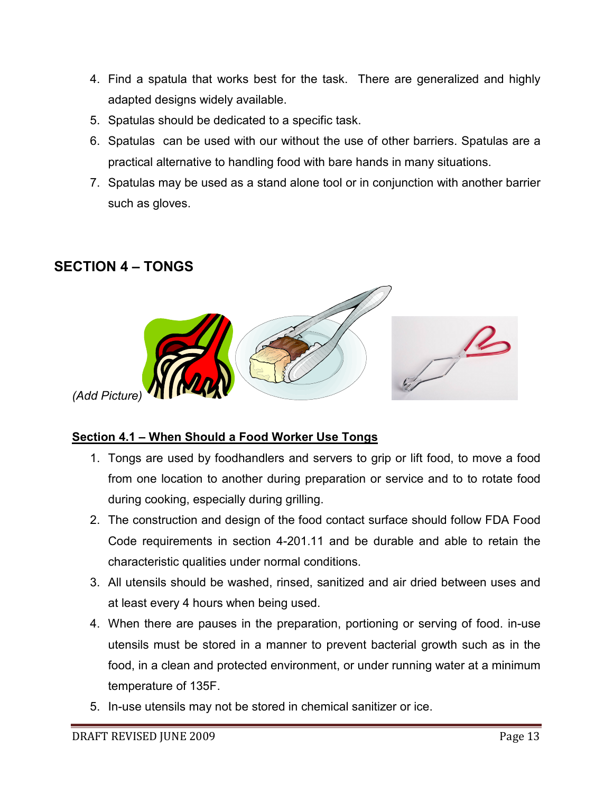- 4. Find a spatula that works best for the task. There are generalized and highly adapted designs widely available.
- 5. Spatulas should be dedicated to a specific task.
- 6. Spatulas can be used with our without the use of other barriers. Spatulas are a practical alternative to handling food with bare hands in many situations.
- 7. Spatulas may be used as a stand alone tool or in conjunction with another barrier such as gloves.

## **SECTION 4 – TONGS**



#### **Section 4.1 – When Should a Food Worker Use Tongs**

- 1. Tongs are used by foodhandlers and servers to grip or lift food, to move a food from one location to another during preparation or service and to to rotate food during cooking, especially during grilling.
- 2. The construction and design of the food contact surface should follow FDA Food Code requirements in section 4-201.11 and be durable and able to retain the characteristic qualities under normal conditions.
- 3. All utensils should be washed, rinsed, sanitized and air dried between uses and at least every 4 hours when being used.
- 4. When there are pauses in the preparation, portioning or serving of food. in-use utensils must be stored in a manner to prevent bacterial growth such as in the food, in a clean and protected environment, or under running water at a minimum temperature of 135F.
- 5. In-use utensils may not be stored in chemical sanitizer or ice.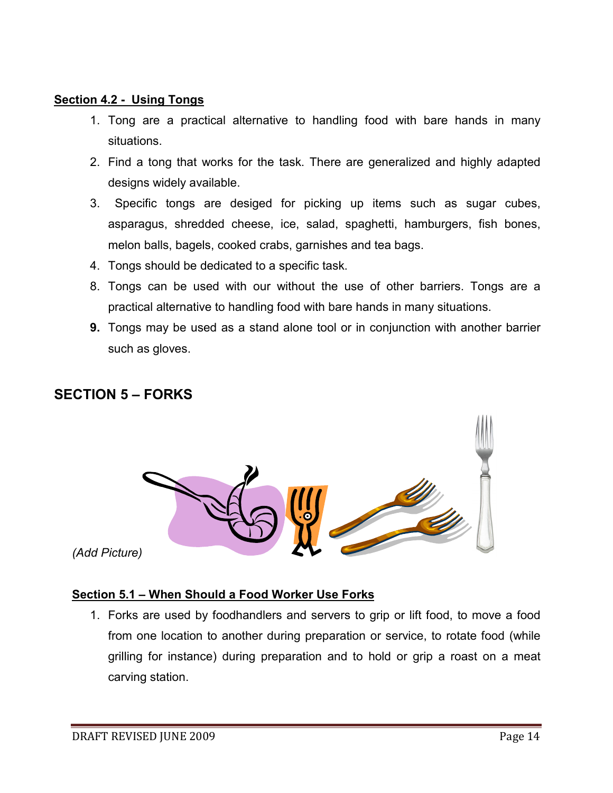#### **Section 4.2 - Using Tongs**

- 1. Tong are a practical alternative to handling food with bare hands in many situations.
- 2. Find a tong that works for the task. There are generalized and highly adapted designs widely available.
- 3. Specific tongs are desiged for picking up items such as sugar cubes, asparagus, shredded cheese, ice, salad, spaghetti, hamburgers, fish bones, melon balls, bagels, cooked crabs, garnishes and tea bags.
- 4. Tongs should be dedicated to a specific task.
- 8. Tongs can be used with our without the use of other barriers. Tongs are a practical alternative to handling food with bare hands in many situations.
- **9.** Tongs may be used as a stand alone tool or in conjunction with another barrier such as gloves.

### **SECTION 5 – FORKS**



*(Add Picture)*

#### **Section 5.1 – When Should a Food Worker Use Forks**

1. Forks are used by foodhandlers and servers to grip or lift food, to move a food from one location to another during preparation or service, to rotate food (while grilling for instance) during preparation and to hold or grip a roast on a meat carving station.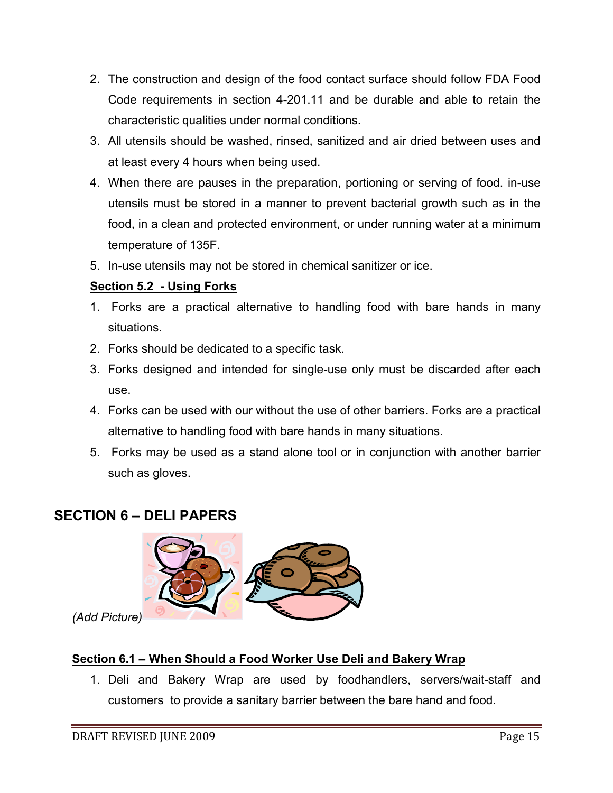- 2. The construction and design of the food contact surface should follow FDA Food Code requirements in section 4-201.11 and be durable and able to retain the characteristic qualities under normal conditions.
- 3. All utensils should be washed, rinsed, sanitized and air dried between uses and at least every 4 hours when being used.
- 4. When there are pauses in the preparation, portioning or serving of food. in-use utensils must be stored in a manner to prevent bacterial growth such as in the food, in a clean and protected environment, or under running water at a minimum temperature of 135F.
- 5. In-use utensils may not be stored in chemical sanitizer or ice.

#### **Section 5.2 - Using Forks**

- 1. Forks are a practical alternative to handling food with bare hands in many situations.
- 2. Forks should be dedicated to a specific task.
- 3. Forks designed and intended for single-use only must be discarded after each use.
- 4. Forks can be used with our without the use of other barriers. Forks are a practical alternative to handling food with bare hands in many situations.
- 5. Forks may be used as a stand alone tool or in conjunction with another barrier such as gloves.

## **SECTION 6 – DELI PAPERS**



*(Add Picture)*

#### **Section 6.1 – When Should a Food Worker Use Deli and Bakery Wrap**

1. Deli and Bakery Wrap are used by foodhandlers, servers/wait-staff and customers to provide a sanitary barrier between the bare hand and food.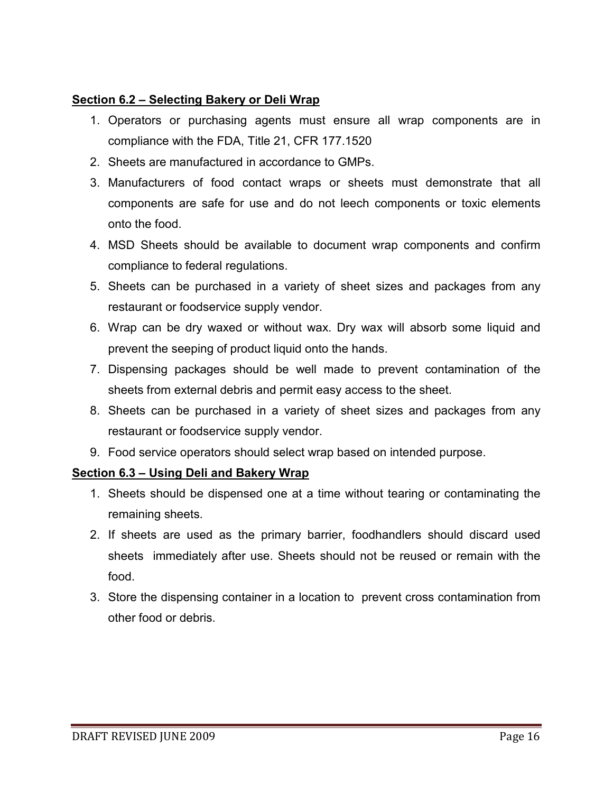#### **Section 6.2 – Selecting Bakery or Deli Wrap**

- 1. Operators or purchasing agents must ensure all wrap components are in compliance with the FDA, Title 21, CFR 177.1520
- 2. Sheets are manufactured in accordance to GMPs.
- 3. Manufacturers of food contact wraps or sheets must demonstrate that all components are safe for use and do not leech components or toxic elements onto the food.
- 4. MSD Sheets should be available to document wrap components and confirm compliance to federal regulations.
- 5. Sheets can be purchased in a variety of sheet sizes and packages from any restaurant or foodservice supply vendor.
- 6. Wrap can be dry waxed or without wax. Dry wax will absorb some liquid and prevent the seeping of product liquid onto the hands.
- 7. Dispensing packages should be well made to prevent contamination of the sheets from external debris and permit easy access to the sheet.
- 8. Sheets can be purchased in a variety of sheet sizes and packages from any restaurant or foodservice supply vendor.
- 9. Food service operators should select wrap based on intended purpose.

#### **Section 6.3 – Using Deli and Bakery Wrap**

- 1. Sheets should be dispensed one at a time without tearing or contaminating the remaining sheets.
- 2. If sheets are used as the primary barrier, foodhandlers should discard used sheets immediately after use. Sheets should not be reused or remain with the food.
- 3. Store the dispensing container in a location to prevent cross contamination from other food or debris.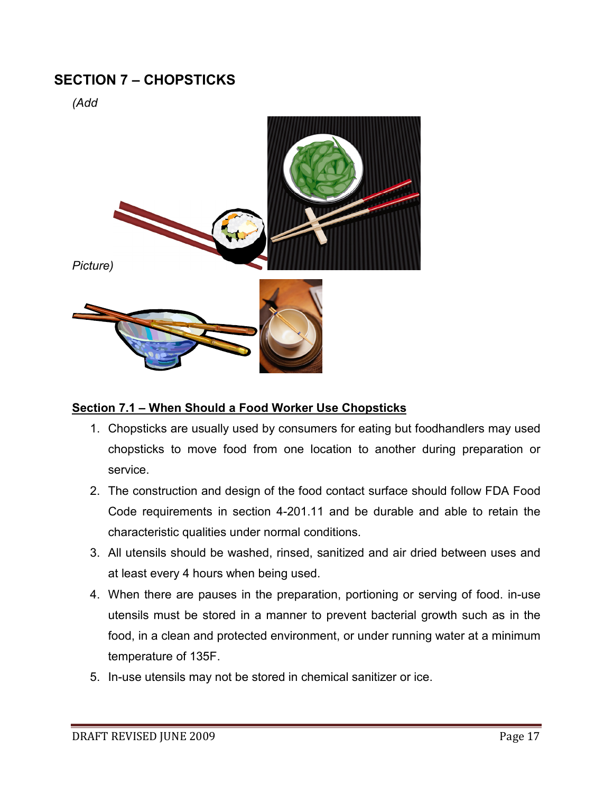## **SECTION 7 – CHOPSTICKS**

*(Add* 



#### **Section 7.1 – When Should a Food Worker Use Chopsticks**

- 1. Chopsticks are usually used by consumers for eating but foodhandlers may used chopsticks to move food from one location to another during preparation or service.
- 2. The construction and design of the food contact surface should follow FDA Food Code requirements in section 4-201.11 and be durable and able to retain the characteristic qualities under normal conditions.
- 3. All utensils should be washed, rinsed, sanitized and air dried between uses and at least every 4 hours when being used.
- 4. When there are pauses in the preparation, portioning or serving of food. in-use utensils must be stored in a manner to prevent bacterial growth such as in the food, in a clean and protected environment, or under running water at a minimum temperature of 135F.
- 5. In-use utensils may not be stored in chemical sanitizer or ice.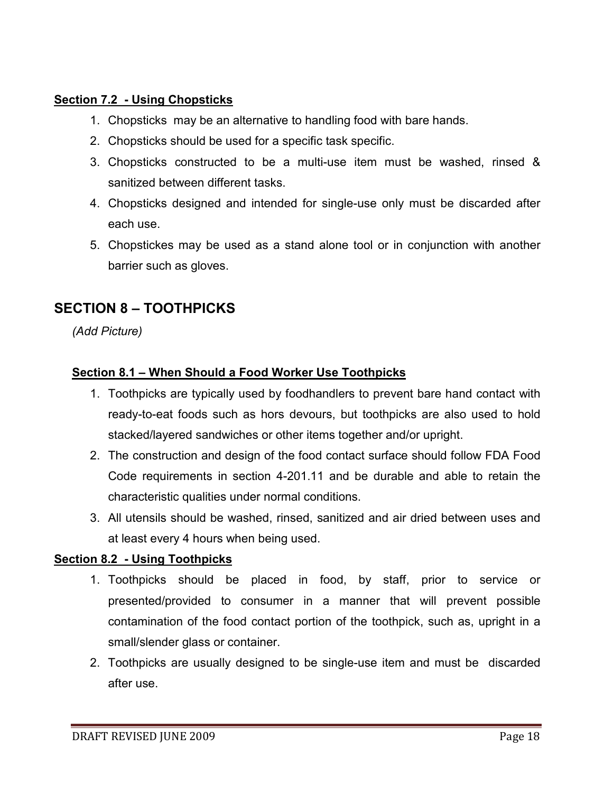#### **Section 7.2 - Using Chopsticks**

- 1. Chopsticks may be an alternative to handling food with bare hands.
- 2. Chopsticks should be used for a specific task specific.
- 3. Chopsticks constructed to be a multi-use item must be washed, rinsed & sanitized between different tasks.
- 4. Chopsticks designed and intended for single-use only must be discarded after each use.
- 5. Chopstickes may be used as a stand alone tool or in conjunction with another barrier such as gloves.

## **SECTION 8 – TOOTHPICKS**

*(Add Picture)* 

#### **Section 8.1 – When Should a Food Worker Use Toothpicks**

- 1. Toothpicks are typically used by foodhandlers to prevent bare hand contact with ready-to-eat foods such as hors devours, but toothpicks are also used to hold stacked/layered sandwiches or other items together and/or upright.
- 2. The construction and design of the food contact surface should follow FDA Food Code requirements in section 4-201.11 and be durable and able to retain the characteristic qualities under normal conditions.
- 3. All utensils should be washed, rinsed, sanitized and air dried between uses and at least every 4 hours when being used.

#### **Section 8.2 - Using Toothpicks**

- 1. Toothpicks should be placed in food, by staff, prior to service or presented/provided to consumer in a manner that will prevent possible contamination of the food contact portion of the toothpick, such as, upright in a small/slender glass or container.
- 2. Toothpicks are usually designed to be single-use item and must be discarded after use.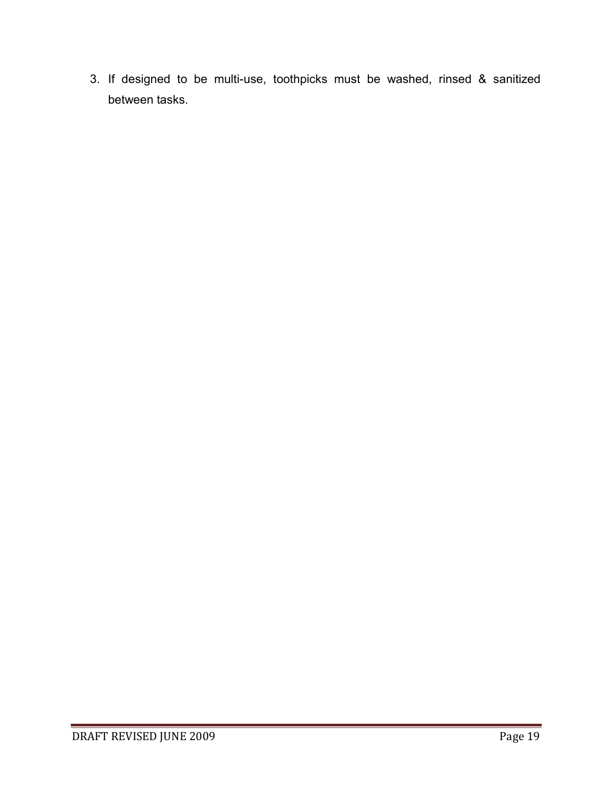3. If designed to be multi-use, toothpicks must be washed, rinsed & sanitized between tasks.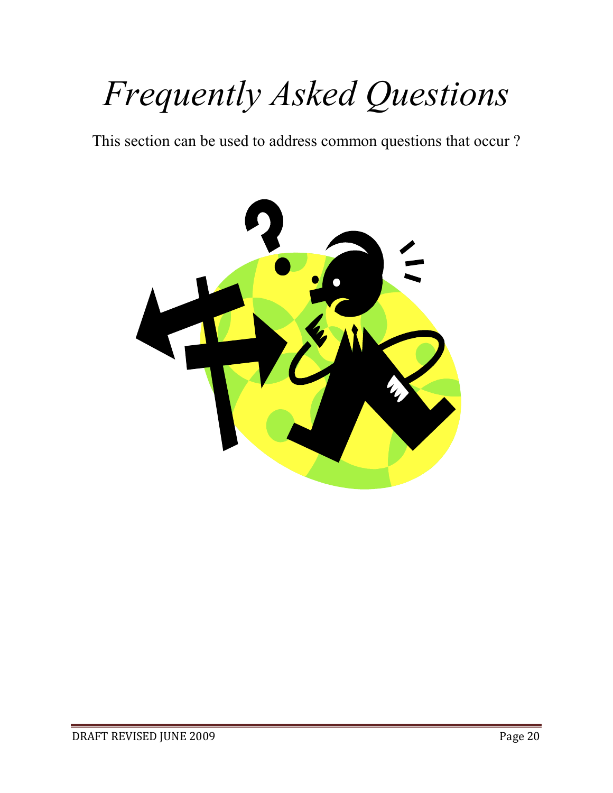# *Frequently Asked Questions*

This section can be used to address common questions that occur ?

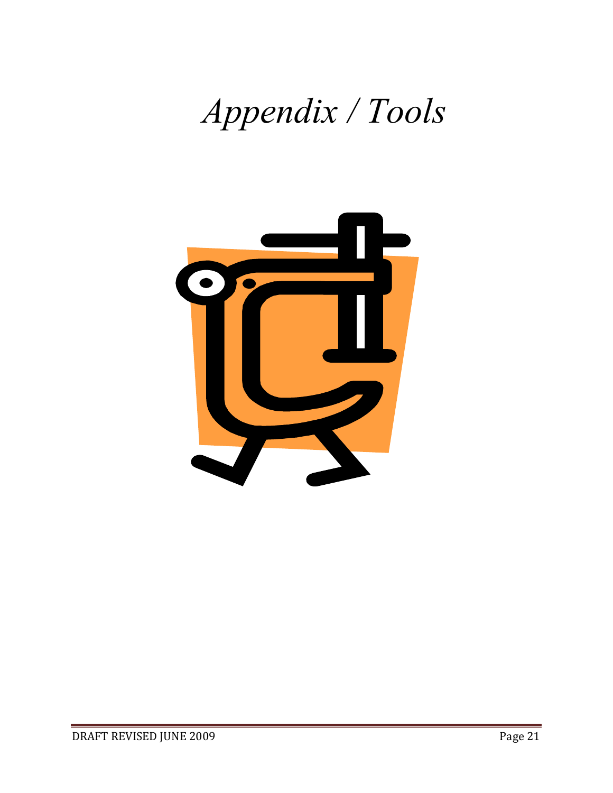# *Appendix / Tools*

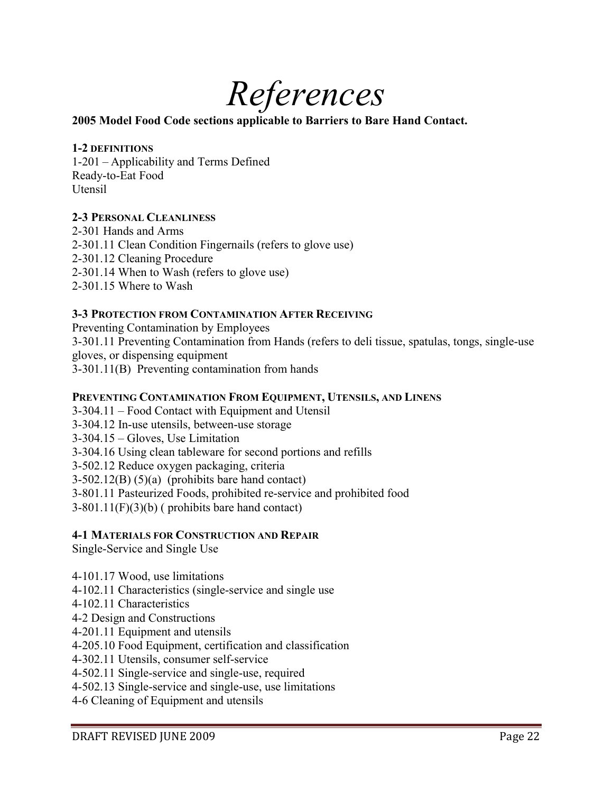

#### **2005 Model Food Code sections applicable to Barriers to Bare Hand Contact.**

#### **1-2 DEFINITIONS**

1-201 – Applicability and Terms Defined Ready-to-Eat Food Utensil

#### **2-3 PERSONAL CLEANLINESS**

2-301 Hands and Arms 2-301.11 Clean Condition Fingernails (refers to glove use) 2-301.12 Cleaning Procedure 2-301.14 When to Wash (refers to glove use) 2-301.15 Where to Wash

#### **3-3 PROTECTION FROM CONTAMINATION AFTER RECEIVING**

Preventing Contamination by Employees 3-301.11 Preventing Contamination from Hands (refers to deli tissue, spatulas, tongs, single-use gloves, or dispensing equipment 3-301.11(B) Preventing contamination from hands

#### **PREVENTING CONTAMINATION FROM EQUIPMENT, UTENSILS, AND LINENS**

3-304.11 – Food Contact with Equipment and Utensil

3-304.12 In-use utensils, between-use storage

3-304.15 – Gloves, Use Limitation

3-304.16 Using clean tableware for second portions and refills

3-502.12 Reduce oxygen packaging, criteria

 $3-502.12(B)$  (5)(a) (prohibits bare hand contact)

3-801.11 Pasteurized Foods, prohibited re-service and prohibited food

3-801.11(F)(3)(b) ( prohibits bare hand contact)

#### **4-1 MATERIALS FOR CONSTRUCTION AND REPAIR**

Single-Service and Single Use

4-101.17 Wood, use limitations

4-102.11 Characteristics (single-service and single use

- 4-102.11 Characteristics
- 4-2 Design and Constructions
- 4-201.11 Equipment and utensils

4-205.10 Food Equipment, certification and classification

4-302.11 Utensils, consumer self-service

4-502.11 Single-service and single-use, required

4-502.13 Single-service and single-use, use limitations

4-6 Cleaning of Equipment and utensils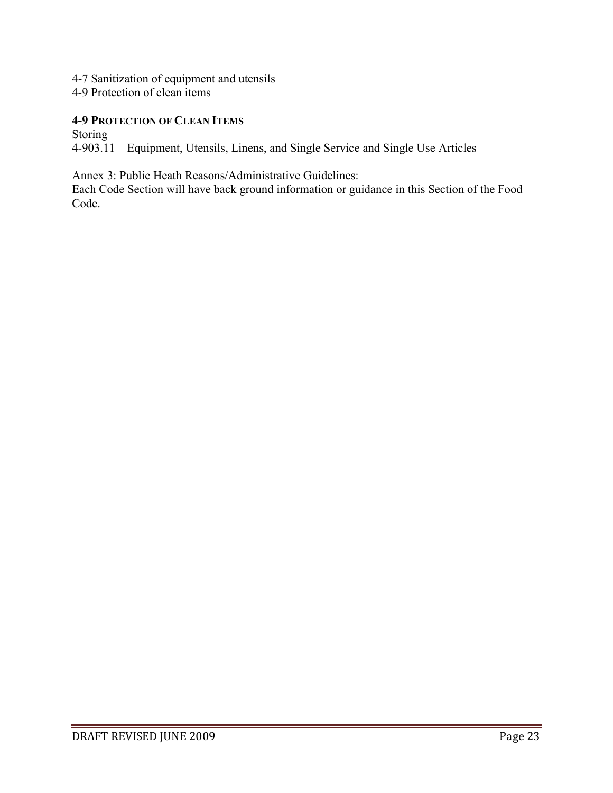- 4-7 Sanitization of equipment and utensils
- 4-9 Protection of clean items

#### **4-9 PROTECTION OF CLEAN ITEMS**

Storing

4-903.11 – Equipment, Utensils, Linens, and Single Service and Single Use Articles

Annex 3: Public Heath Reasons/Administrative Guidelines:

Each Code Section will have back ground information or guidance in this Section of the Food Code.